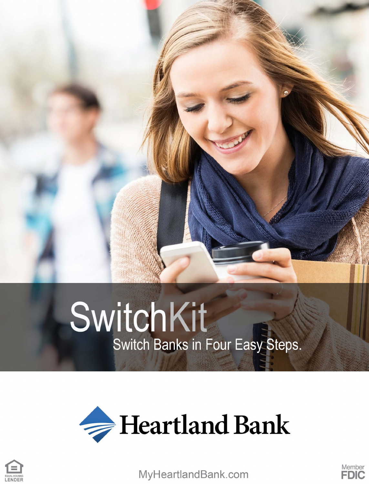# SwitchKit Switch Banks in Four Easy Steps.





MyHeartlandBank.com

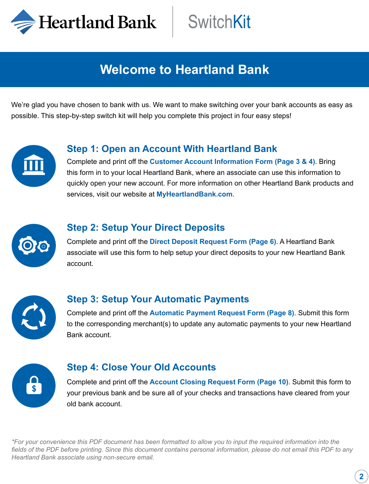Heartland Bank

### **Welcome to Heartland Bank**

We're glad you have chosen to bank with us. We want to make switching over your bank accounts as easy as possible. This step-by-step switch kit will help you complete this project in four easy steps!



### **Step 1: Open an Account With Heartland Bank**

Complete and print off the **Customer Account Information Form (Page 3 & 4)**. Bring this form in to your local Heartland Bank, where an associate can use this information to quickly open your new account. For more information on other Heartland Bank products and services, visit our website at **MyHeartlandBank.com**.



#### **Step 2: Setup Your Direct Deposits**

Complete and print off the **Direct Deposit Request Form (Page 6)**. A Heartland Bank associate will use this form to help setup your direct deposits to your new Heartland Bank account.



### **Step 3: Setup Your Automatic Payments**

Complete and print off the **Automatic Payment Request Form (Page 8)**. Submit this form to the corresponding merchant(s) to update any automatic payments to your new Heartland Bank account.



#### **Step 4: Close Your Old Accounts**

Complete and print off the **Account Closing Request Form (Page 10)**. Submit this form to your previous bank and be sure all of your checks and transactions have cleared from your old bank account.

*\*For your convenience this PDF document has been formatted to allow you to input the required information into the fields of the PDF before printing. Since this document contains personal information, please do not email this PDF to any Heartland Bank associate using non-secure email.*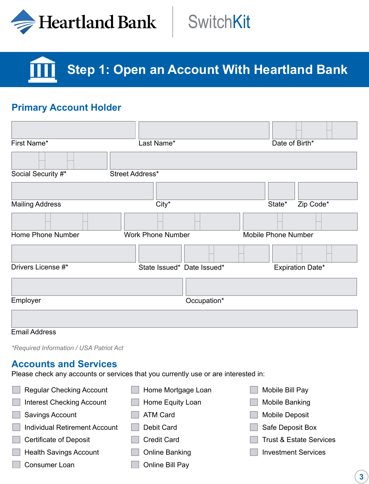

# **SwitchKit**

**Step 1: Open an Account With Heartland Bank**

### **Primary Account Holder**

| First Name*            | Last Name*                 | Date of Birth*             |
|------------------------|----------------------------|----------------------------|
|                        |                            |                            |
| Social Security #*     | Street Address*            |                            |
|                        |                            |                            |
| <b>Mailing Address</b> | City*                      | Zip Code*<br>State*        |
|                        |                            |                            |
| Home Phone Number      | <b>Work Phone Number</b>   | <b>Mobile Phone Number</b> |
|                        |                            |                            |
| Drivers License #*     | State Issued* Date Issued* | Expiration Date*           |
|                        |                            |                            |
| Employer               | Occupation*                |                            |
|                        |                            |                            |

#### Email Address

*\*Required Information / USA Patriot Act*

#### **Accounts and Services**

Please check any accounts or services that you currently use or are interested in:

| <b>Regular Checking Account</b>      | Home Mortgage Loan | Mobile Bill Pay                    |
|--------------------------------------|--------------------|------------------------------------|
| <b>Interest Checking Account</b>     | Home Equity Loan   | Mobile Banking                     |
| Savings Account                      | <b>ATM Card</b>    | <b>Mobile Deposit</b>              |
| <b>Individual Retirement Account</b> | Debit Card         | Safe Deposit Box                   |
| <b>Certificate of Deposit</b>        | <b>Credit Card</b> | <b>Trust &amp; Estate Services</b> |
| <b>Health Savings Account</b>        | Online Banking     | <b>Investment Services</b>         |
| Consumer Loan                        | Online Bill Pay    |                                    |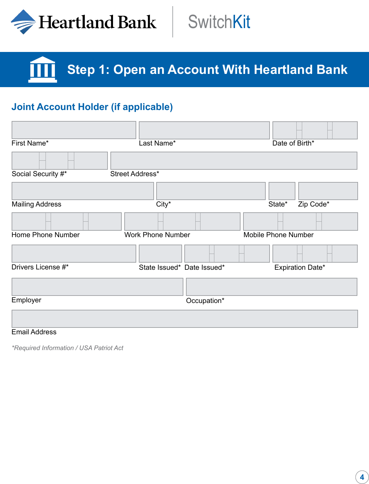

# **SwitchKit**

### **Step 1: Open an Account With Heartland Bank**

### **Joint Account Holder (if applicable)**

| First Name*            | Last Name*                 | Date of Birth*             |
|------------------------|----------------------------|----------------------------|
|                        |                            |                            |
| Social Security #*     | Street Address*            |                            |
|                        |                            |                            |
| <b>Mailing Address</b> | City*                      | Zip Code*<br>State*        |
|                        |                            |                            |
| Home Phone Number      | <b>Work Phone Number</b>   | <b>Mobile Phone Number</b> |
|                        |                            |                            |
| Drivers License #*     | State Issued* Date Issued* | Expiration Date*           |
|                        |                            |                            |
| Employer               | Occupation*                |                            |
|                        |                            |                            |

#### Email Address

*\*Required Information / USA Patriot Act*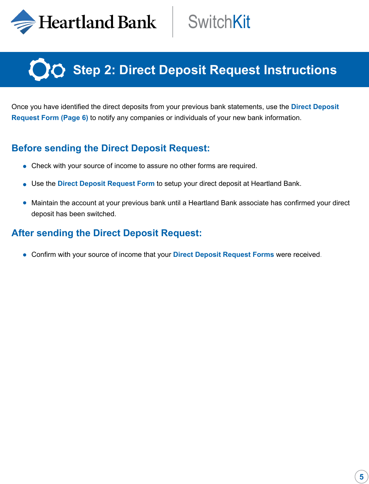

## **Step 2: Direct Deposit Request Instructions**

Once you have identified the direct deposits from your previous bank statements, use the **Direct Deposit Request Form (Page 6)** to notify any companies or individuals of your new bank information.

### **Before sending the Direct Deposit Request:**

- Check with your source of income to assure no other forms are required.
- Use the **Direct Deposit Request Form** to setup your direct deposit at Heartland Bank.
- Maintain the account at your previous bank until a Heartland Bank associate has confirmed your direct deposit has been switched.

#### **After sending the Direct Deposit Request:**

Confirm with your source of income that your **Direct Deposit Request Forms** were received.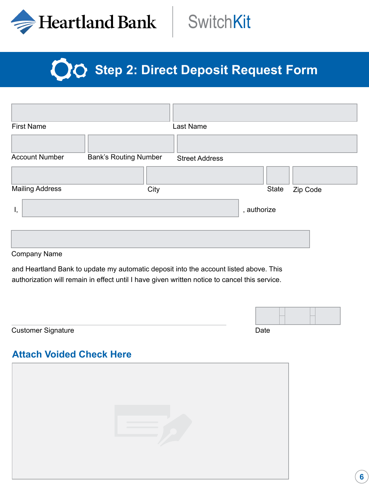

# **Step 2: Direct Deposit Request Form**

| <b>First Name</b>      |                              | Last Name             |             |          |
|------------------------|------------------------------|-----------------------|-------------|----------|
|                        |                              |                       |             |          |
| <b>Account Number</b>  | <b>Bank's Routing Number</b> | <b>Street Address</b> |             |          |
|                        |                              |                       |             |          |
| <b>Mailing Address</b> | City                         |                       | State       | Zip Code |
| Ι,                     |                              |                       | , authorize |          |
| Campagnic Magaz        |                              |                       |             |          |

Company Name

and Heartland Bank to update my automatic deposit into the account listed above. This authorization will remain in effect until I have given written notice to cancel this service.

| <b>Customer Signature</b> | Date |  |  |
|---------------------------|------|--|--|

### **Attach Voided Check Here**

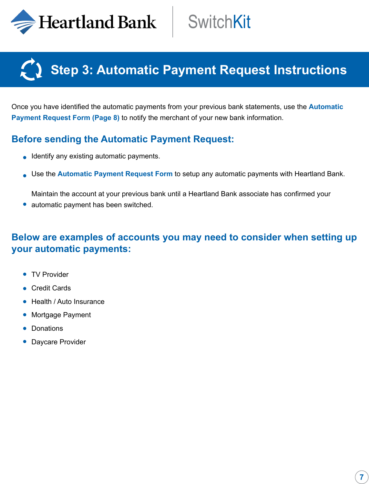$\Rightarrow$  Heartland Bank

### **Step 3: Automatic Payment Request Instructions**

Once you have identified the automatic payments from your previous bank statements, use the **Automatic Payment Request Form (Page 8)** to notify the merchant of your new bank information.

### **Before sending the Automatic Payment Request:**

- **I** Identify any existing automatic payments.
- Use the **Automatic Payment Request Form** to setup any automatic payments with Heartland Bank.

Maintain the account at your previous bank until a Heartland Bank associate has confirmed your • automatic payment has been switched.

### **Below are examples of accounts you may need to consider when setting up your automatic payments:**

- **TV Provider**
- Credit Cards
- Health / Auto Insurance
- Mortgage Payment
- Donations
- Daycare Provider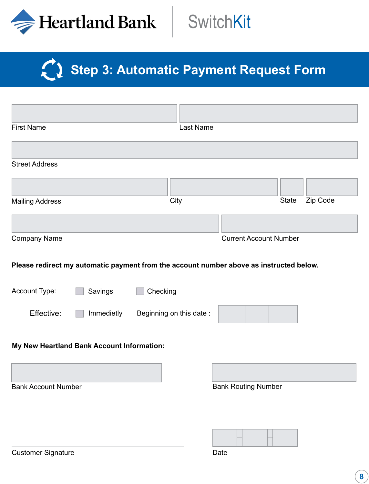

# Step 3: Automatic Payment Request Form

| <b>First Name</b>                                                                       | Last Name               |                               |          |
|-----------------------------------------------------------------------------------------|-------------------------|-------------------------------|----------|
|                                                                                         |                         |                               |          |
| <b>Street Address</b>                                                                   |                         |                               |          |
|                                                                                         |                         |                               |          |
| <b>Mailing Address</b>                                                                  | City                    | <b>State</b>                  | Zip Code |
|                                                                                         |                         |                               |          |
| Company Name                                                                            |                         | <b>Current Account Number</b> |          |
| Please redirect my automatic payment from the account number above as instructed below. |                         |                               |          |
| Account Type:<br>Savings                                                                | Checking                |                               |          |
| Effective:<br>Immedietly                                                                | Beginning on this date: |                               |          |
| My New Heartland Bank Account Information:                                              |                         |                               |          |
|                                                                                         |                         |                               |          |
| <b>Bank Account Number</b>                                                              |                         | <b>Bank Routing Number</b>    |          |
|                                                                                         |                         |                               |          |
|                                                                                         |                         |                               |          |
| <b>Customer Signature</b>                                                               |                         | Date                          |          |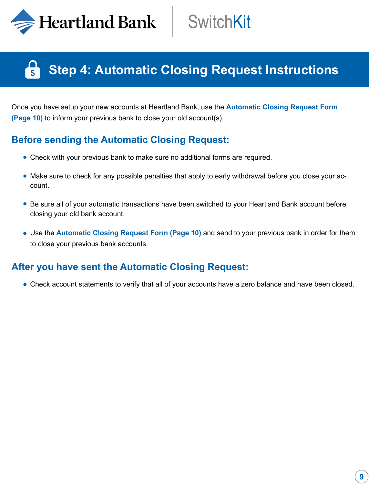$\blacktriangleright$  Heartland Bank

### **Step 4: Automatic Closing Request Instructions**

Once you have setup your new accounts at Heartland Bank, use the **Automatic Closing Request Form (Page 10)** to inform your previous bank to close your old account(s).

### **Before sending the Automatic Closing Request:**

- Check with your previous bank to make sure no additional forms are required.
- Make sure to check for any possible penalties that apply to early withdrawal before you close your account.
- Be sure all of your automatic transactions have been switched to your Heartland Bank account before closing your old bank account.
- Use the **Automatic Closing Request Form (Page 10)** and send to your previous bank in order for them to close your previous bank accounts.

### **After you have sent the Automatic Closing Request:**

Check account statements to verify that all of your accounts have a zero balance and have been closed.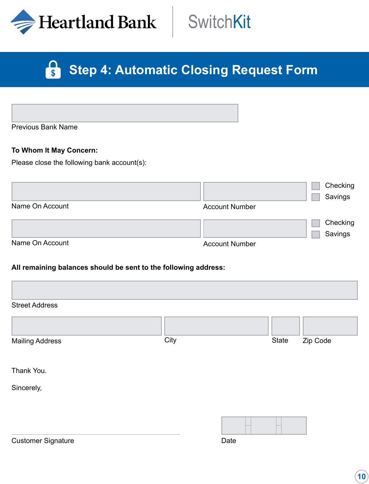

# **SwitchKit**

#### **Particle Step 4: Automatic Closing Request Form**

Previous Bank Name

#### **To Whom It May Concern:**

Please close the following bank account(s):

|                 |                       | Checking |
|-----------------|-----------------------|----------|
|                 |                       | Savings  |
| Name On Account | <b>Account Number</b> |          |
|                 |                       | Checking |
|                 |                       | Savings  |
| Name On Account | <b>Account Number</b> |          |

#### **All remaining balances should be sent to the following address:**

| <b>Street Address</b>  |      |       |          |
|------------------------|------|-------|----------|
|                        |      |       |          |
| <b>Mailing Address</b> | City | State | Zip Code |
|                        |      |       |          |
| Thank You.             |      |       |          |
| Sincerely,             |      |       |          |
|                        |      |       |          |
|                        |      |       |          |